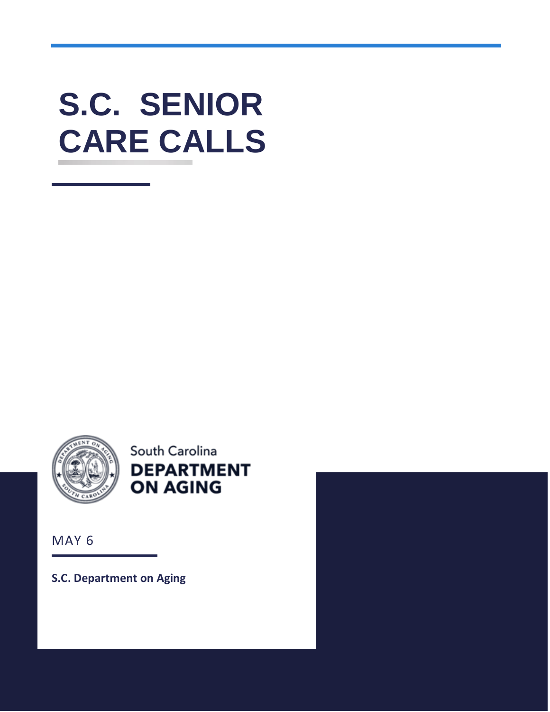# **S.C. SENIOR CARE CALLS**



South Carolina **DEPARTMENT ON AGING** 

MAY 6

**S.C. Department on Aging**

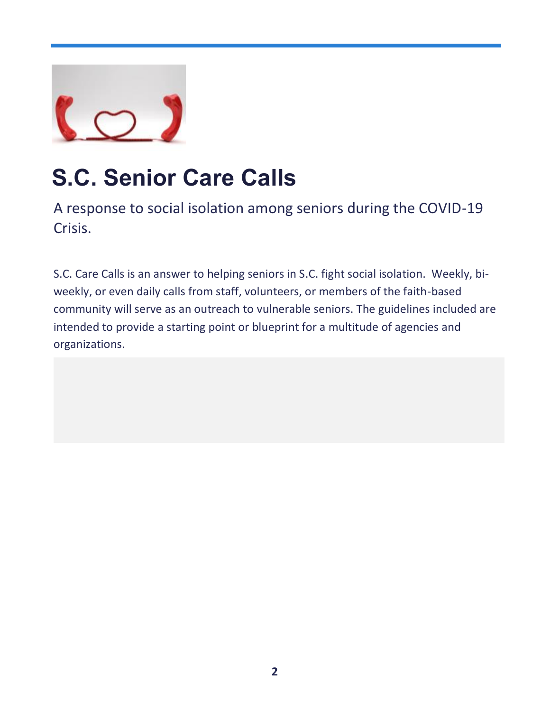

# **S.C. Senior Care Calls**

A response to social isolation among seniors during the COVID-19 Crisis.

S.C. Care Calls is an answer to helping seniors in S.C. fight social isolation. Weekly, biweekly, or even daily calls from staff, volunteers, or members of the faith-based community will serve as an outreach to vulnerable seniors. The guidelines included are intended to provide a starting point or blueprint for a multitude of agencies and organizations.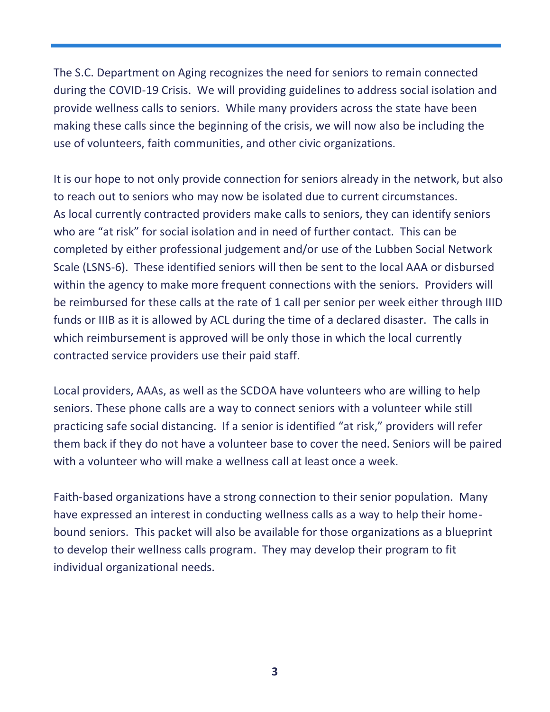The S.C. Department on Aging recognizes the need for seniors to remain connected during the COVID-19 Crisis. We will providing guidelines to address social isolation and provide wellness calls to seniors. While many providers across the state have been making these calls since the beginning of the crisis, we will now also be including the use of volunteers, faith communities, and other civic organizations.

It is our hope to not only provide connection for seniors already in the network, but also to reach out to seniors who may now be isolated due to current circumstances. As local currently contracted providers make calls to seniors, they can identify seniors who are "at risk" for social isolation and in need of further contact. This can be completed by either professional judgement and/or use of the Lubben Social Network Scale (LSNS-6). These identified seniors will then be sent to the local AAA or disbursed within the agency to make more frequent connections with the seniors. Providers will be reimbursed for these calls at the rate of 1 call per senior per week either through IIID funds or IIIB as it is allowed by ACL during the time of a declared disaster. The calls in which reimbursement is approved will be only those in which the local currently contracted service providers use their paid staff.

Local providers, AAAs, as well as the SCDOA have volunteers who are willing to help seniors. These phone calls are a way to connect seniors with a volunteer while still practicing safe social distancing. If a senior is identified "at risk," providers will refer them back if they do not have a volunteer base to cover the need. Seniors will be paired with a volunteer who will make a wellness call at least once a week.

Faith-based organizations have a strong connection to their senior population. Many have expressed an interest in conducting wellness calls as a way to help their homebound seniors. This packet will also be available for those organizations as a blueprint to develop their wellness calls program. They may develop their program to fit individual organizational needs.

**3**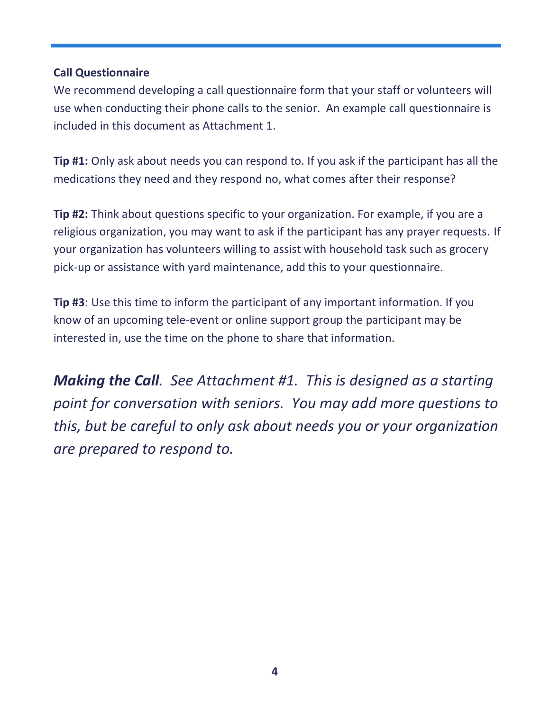## **Call Questionnaire**

We recommend developing a call questionnaire form that your staff or volunteers will use when conducting their phone calls to the senior. An example call questionnaire is included in this document as Attachment 1.

**Tip #1:** Only ask about needs you can respond to. If you ask if the participant has all the medications they need and they respond no, what comes after their response?

**Tip #2:** Think about questions specific to your organization. For example, if you are a religious organization, you may want to ask if the participant has any prayer requests. If your organization has volunteers willing to assist with household task such as grocery pick-up or assistance with yard maintenance, add this to your questionnaire.

**Tip #3**: Use this time to inform the participant of any important information. If you know of an upcoming tele-event or online support group the participant may be interested in, use the time on the phone to share that information.

*Making the Call. See Attachment #1. This is designed as a starting point for conversation with seniors. You may add more questions to this, but be careful to only ask about needs you or your organization are prepared to respond to.*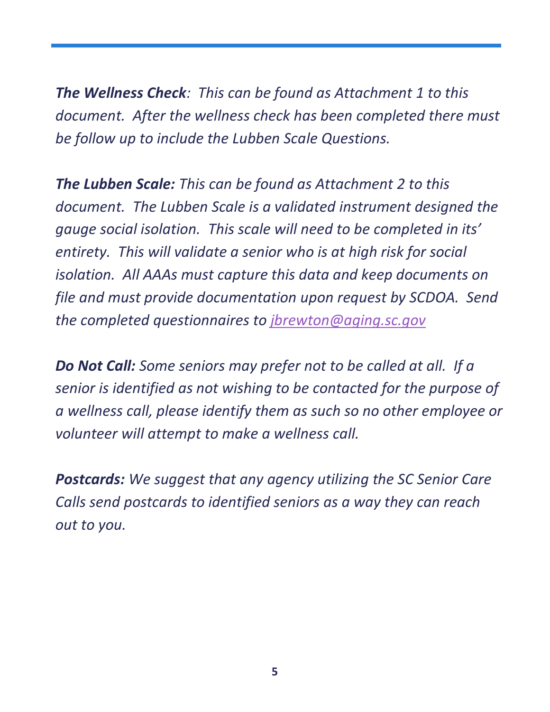*The Wellness Check: This can be found as Attachment 1 to this document. After the wellness check has been completed there must be follow up to include the Lubben Scale Questions.*

*The Lubben Scale: This can be found as Attachment 2 to this document. The Lubben Scale is a validated instrument designed the gauge social isolation. This scale will need to be completed in its' entirety. This will validate a senior who is at high risk for social isolation. All AAAs must capture this data and keep documents on file and must provide documentation upon request by SCDOA. Send the completed questionnaires to [jbrewton@aging.sc.gov](mailto:jbrewton@aging.sc.gov)*

*Do Not Call: Some seniors may prefer not to be called at all. If a senior is identified as not wishing to be contacted for the purpose of a wellness call, please identify them as such so no other employee or volunteer will attempt to make a wellness call.* 

*Postcards: We suggest that any agency utilizing the SC Senior Care Calls send postcards to identified seniors as a way they can reach out to you.*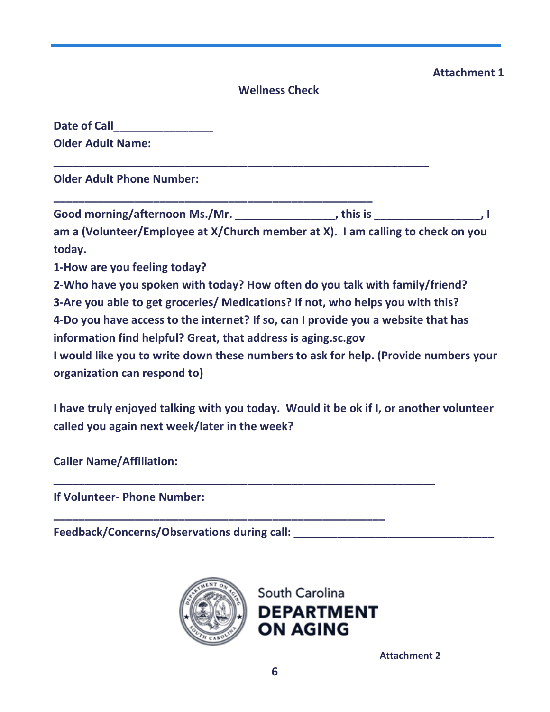# **Attachment 1**

### **Wellness Check**

| <b>Date of Call</b>      |  |
|--------------------------|--|
| <b>Older Adult Name:</b> |  |

**Older Adult Phone Number:** 

**Good morning/afternoon Ms./Mr. \_\_\_\_\_\_\_\_\_\_\_\_\_\_\_\_, this is \_\_\_\_\_\_\_\_\_\_\_\_\_\_\_\_\_, I** 

**\_\_\_\_\_\_\_\_\_\_\_\_\_\_\_\_\_\_\_\_\_\_\_\_\_\_\_\_\_\_\_\_\_\_\_\_\_\_\_\_\_\_\_\_\_\_\_\_\_\_\_\_\_\_\_\_\_\_\_\_**

**\_\_\_\_\_\_\_\_\_\_\_\_\_\_\_\_\_\_\_\_\_\_\_\_\_\_\_\_\_\_\_\_\_\_\_\_\_\_\_\_\_\_\_\_\_\_\_\_\_\_\_**

**am a (Volunteer/Employee at X/Church member at X). I am calling to check on you today.** 

**1-How are you feeling today?**

**2-Who have you spoken with today? How often do you talk with family/friend?** 

**3-Are you able to get groceries/ Medications? If not, who helps you with this?** 

**4-Do you have access to the internet? If so, can I provide you a website that has information find helpful? Great, that address is aging.sc.gov** 

**I would like you to write down these numbers to ask for help. (Provide numbers your organization can respond to)**

**I have truly enjoyed talking with you today. Would it be ok if I, or another volunteer called you again next week/later in the week?**

**\_\_\_\_\_\_\_\_\_\_\_\_\_\_\_\_\_\_\_\_\_\_\_\_\_\_\_\_\_\_\_\_\_\_\_\_\_\_\_\_\_\_\_\_\_\_\_\_\_\_\_\_\_\_\_\_\_\_\_\_\_**

**Caller Name/Affiliation:** 

**If Volunteer- Phone Number:** 

Feedback/Concerns/Observations during call:



**\_\_\_\_\_\_\_\_\_\_\_\_\_\_\_\_\_\_\_\_\_\_\_\_\_\_\_\_\_\_\_\_\_\_\_\_\_\_\_\_\_\_\_\_\_\_\_\_\_\_\_\_\_**

**ON AGING** 

**Attachment 2**

South Carolina

**DEPARTMENT**